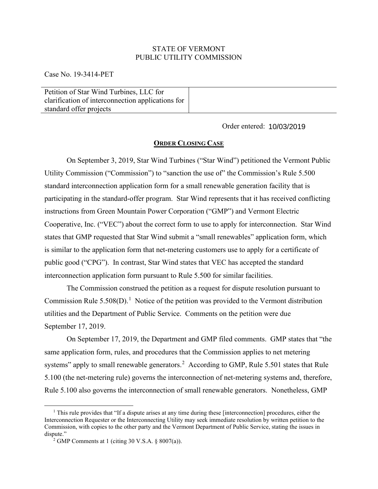## STATE OF VERMONT PUBLIC UTILITY COMMISSION

Case No. 19-3414-PET

Petition of Star Wind Turbines, LLC for clarification of interconnection applications for standard offer projects

Order entered: 10/03/2019

## **ORDER CLOSING CASE**

On September 3, 2019, Star Wind Turbines ("Star Wind") petitioned the Vermont Public Utility Commission ("Commission") to "sanction the use of" the Commission's Rule 5.500 standard interconnection application form for a small renewable generation facility that is participating in the standard-offer program. Star Wind represents that it has received conflicting instructions from Green Mountain Power Corporation ("GMP") and Vermont Electric Cooperative, Inc. ("VEC") about the correct form to use to apply for interconnection. Star Wind states that GMP requested that Star Wind submit a "small renewables" application form, which is similar to the application form that net-metering customers use to apply for a certificate of public good ("CPG"). In contrast, Star Wind states that VEC has accepted the standard interconnection application form pursuant to Rule 5.500 for similar facilities.

The Commission construed the petition as a request for dispute resolution pursuant to Commission Rule  $5.508(D)$ .<sup>[1](#page-0-0)</sup> Notice of the petition was provided to the Vermont distribution utilities and the Department of Public Service. Comments on the petition were due September 17, 2019.

On September 17, 2019, the Department and GMP filed comments. GMP states that "the same application form, rules, and procedures that the Commission applies to net metering systems" apply to small renewable generators.<sup>[2](#page-0-1)</sup> According to GMP, Rule 5.501 states that Rule 5.100 (the net-metering rule) governs the interconnection of net-metering systems and, therefore, Rule 5.100 also governs the interconnection of small renewable generators. Nonetheless, GMP

<span id="page-0-0"></span><sup>&</sup>lt;sup>1</sup> This rule provides that "If a dispute arises at any time during these [interconnection] procedures, either the Interconnection Requester or the Interconnecting Utility may seek immediate resolution by written petition to the Commission, with copies to the other party and the Vermont Department of Public Service, stating the issues in dispute."

<span id="page-0-1"></span><sup>&</sup>lt;sup>2</sup> GMP Comments at 1 (citing 30 V.S.A.  $\S$  8007(a)).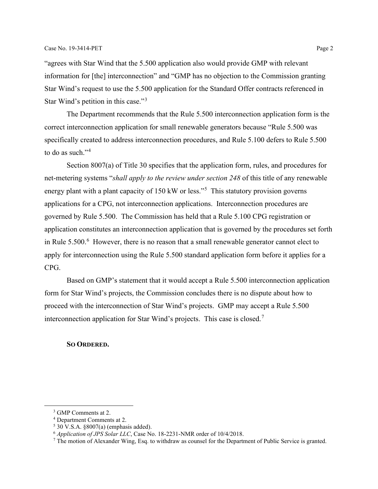"agrees with Star Wind that the 5.500 application also would provide GMP with relevant information for [the] interconnection" and "GMP has no objection to the Commission granting Star Wind's request to use the 5.500 application for the Standard Offer contracts referenced in Star Wind's petition in this case."<sup>[3](#page-1-0)</sup>

The Department recommends that the Rule 5.500 interconnection application form is the correct interconnection application for small renewable generators because "Rule 5.500 was specifically created to address interconnection procedures, and Rule 5.100 defers to Rule 5.500 to do as such."<sup>[4](#page-1-1)</sup>

Section 8007(a) of Title 30 specifies that the application form, rules, and procedures for net-metering systems "*shall apply to the review under section 248* of this title of any renewable energy plant with a plant capacity of 1[5](#page-1-2)0 kW or less."<sup>5</sup> This statutory provision governs applications for a CPG, not interconnection applications. Interconnection procedures are governed by Rule 5.500. The Commission has held that a Rule 5.100 CPG registration or application constitutes an interconnection application that is governed by the procedures set forth in Rule  $5.500$ . <sup>[6](#page-1-3)</sup> However, there is no reason that a small renewable generator cannot elect to apply for interconnection using the Rule 5.500 standard application form before it applies for a CPG.

Based on GMP's statement that it would accept a Rule 5.500 interconnection application form for Star Wind's projects, the Commission concludes there is no dispute about how to proceed with the interconnection of Star Wind's projects. GMP may accept a Rule 5.500 interconnection application for Star Wind's projects. This case is closed.<sup>[7](#page-1-4)</sup>

## **SO ORDERED.**

<span id="page-1-0"></span><sup>&</sup>lt;sup>3</sup> GMP Comments at 2.

<span id="page-1-1"></span><sup>4</sup> Department Comments at 2.

<span id="page-1-2"></span> $5\overline{30}$  V.S.A.  $\overline{\$8007(a)}$  (emphasis added).

<span id="page-1-3"></span><sup>6</sup> *Application of JPS Solar LLC*, Case No. 18-2231-NMR order of 10/4/2018.

<span id="page-1-4"></span><sup>&</sup>lt;sup>7</sup> The motion of Alexander Wing, Esq. to withdraw as counsel for the Department of Public Service is granted.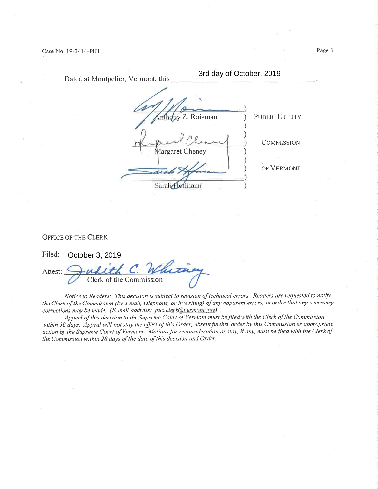| Dated at Montpelier, Vermont, this | 3rd day of October, 2019            |  |
|------------------------------------|-------------------------------------|--|
|                                    | nthopy Z. Roisman<br>PUBLIC UTILITY |  |
| Margaret Cheney                    | <b>COMMISSION</b>                   |  |
|                                    | OF VERMONT<br>nann                  |  |

OFFICE OF THE CLERK

Filed: Attest: Judith C Clerk of the Commissior October 3, 2019

Notice to Readers: This decision is subject to revision of technical errors. Readers are requested to notify the Clerk of the Commission (by e-mail, telephone, or in writing) of any apparent errors, in order that any necessary corrections may be made. (E-mail address: puc.clerk@vermont.gov)

Appeal of this decision to the Supreme Court of Vermont must be filed with the Clerk of the Commission within 30 days. Appeal will not stay the effect of this Order, absent further order by this Commission or appropriate action by the Supreme Court of Vermont. Motions for reconsideration or stay, if any, must be filed with the Clerk of the Commission within 28 days of the date of this decision and Order.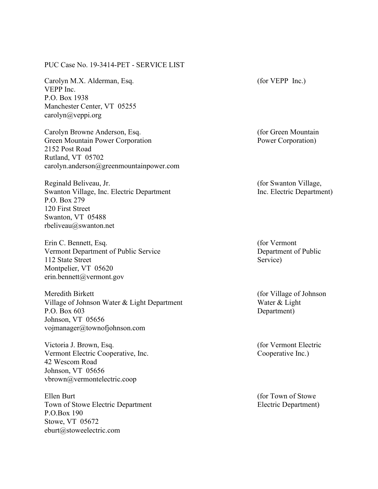## PUC Case No. 19-3414-PET - SERVICE LIST

Carolyn M.X. Alderman, Esq. VEPP Inc. P.O. Box 1938 Manchester Center, VT 05255 carolyn@veppi.org

Carolyn Browne Anderson, Esq. Green Mountain Power Corporation 2152 Post Road Rutland, VT 05702 carolyn.anderson@greenmountainpower.com

Reginald Beliveau, Jr. Swanton Village, Inc. Electric Department P.O. Box 279 120 First Street Swanton, VT 05488 rbeliveau@swanton.net

Erin C. Bennett, Esq. Vermont Department of Public Service 112 State Street Montpelier, VT 05620 erin.bennett@vermont.gov

Meredith Birkett Village of Johnson Water & Light Department P.O. Box 603 Johnson, VT 05656 vojmanager@townofjohnson.com

Victoria J. Brown, Esq. Vermont Electric Cooperative, Inc. 42 Wescom Road Johnson, VT 05656 vbrown@vermontelectric.coop

Ellen Burt Town of Stowe Electric Department P.O.Box 190 Stowe, VT 05672 eburt@stoweelectric.com

(for VEPP Inc.)

(for Green Mountain Power Corporation)

(for Swanton Village, Inc. Electric Department)

(for Vermont Department of Public Service)

(for Village of Johnson Water & Light Department)

(for Vermont Electric Cooperative Inc.)

(for Town of Stowe Electric Department)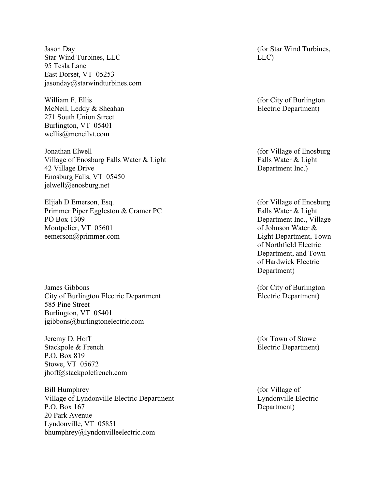Jason Day Star Wind Turbines, LLC 95 Tesla Lane East Dorset, VT 05253 jasonday@starwindturbines.com

William F. Ellis McNeil, Leddy & Sheahan 271 South Union Street Burlington, VT 05401 wellis@mcneilvt.com

Jonathan Elwell Village of Enosburg Falls Water & Light 42 Village Drive Enosburg Falls, VT 05450 jelwell@enosburg.net

Elijah D Emerson, Esq. Primmer Piper Eggleston & Cramer PC PO Box 1309 Montpelier, VT 05601 eemerson@primmer.com

James Gibbons City of Burlington Electric Department 585 Pine Street Burlington, VT 05401 jgibbons@burlingtonelectric.com

Jeremy D. Hoff Stackpole & French P.O. Box 819 Stowe, VT 05672 jhoff@stackpolefrench.com

Bill Humphrey Village of Lyndonville Electric Department P.O. Box 167 20 Park Avenue Lyndonville, VT 05851 bhumphrey@lyndonvilleelectric.com

(for Star Wind Turbines, LLC)

(for City of Burlington Electric Department)

(for Village of Enosburg Falls Water & Light Department Inc.)

(for Village of Enosburg Falls Water & Light Department Inc., Village of Johnson Water & Light Department, Town of Northfield Electric Department, and Town of Hardwick Electric Department)

(for City of Burlington Electric Department)

(for Town of Stowe Electric Department)

(for Village of Lyndonville Electric Department)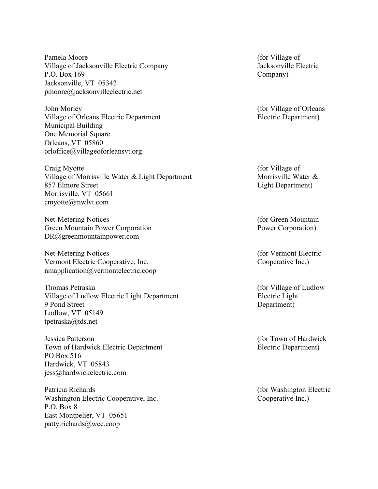Pamela Moore Village of Jacksonville Electric Company P.O. Box 169 Jacksonville, VT 05342 pmoore@jacksonvilleelectric.net

John Morley Village of Orleans Electric Department Municipal Building One Memorial Square Orleans, VT 05860 orloffice@villageoforleansvt.org

Craig Myotte Village of Morrisville Water & Light Department 857 Elmore Street Morrisville, VT 05661 cmyotte@mwlvt.com

Net-Metering Notices Green Mountain Power Corporation DR@greenmountainpower.com

Net-Metering Notices Vermont Electric Cooperative, Inc. nmapplication@vermontelectric.coop

Thomas Petraska Village of Ludlow Electric Light Department 9 Pond Street Ludlow, VT 05149 tpetraska@tds.net

Jessica Patterson Town of Hardwick Electric Department PO Box 516 Hardwick, VT 05843 jess@hardwickelectric.com

Patricia Richards Washington Electric Cooperative, Inc. P.O. Box 8 East Montpelier, VT 05651 patty.richards@wec.coop

(for Village of Jacksonville Electric Company)

(for Village of Orleans Electric Department)

(for Village of Morrisville Water & Light Department)

(for Green Mountain Power Corporation)

(for Vermont Electric Cooperative Inc.)

(for Village of Ludlow Electric Light Department)

(for Town of Hardwick Electric Department)

(for Washington Electric Cooperative Inc.)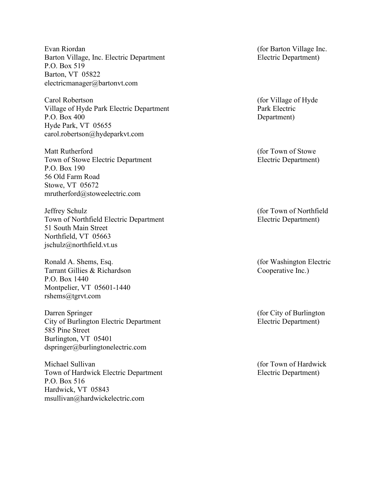Evan Riordan Barton Village, Inc. Electric Department P.O. Box 519 Barton, VT 05822 electricmanager@bartonvt.com

Carol Robertson Village of Hyde Park Electric Department P.O. Box 400 Hyde Park, VT 05655 carol.robertson@hydeparkvt.com

Matt Rutherford Town of Stowe Electric Department P.O. Box 190 56 Old Farm Road Stowe, VT 05672 mrutherford@stoweelectric.com

Jeffrey Schulz Town of Northfield Electric Department 51 South Main Street Northfield, VT 05663 jschulz@northfield.vt.us

Ronald A. Shems, Esq. Tarrant Gillies & Richardson P.O. Box 1440 Montpelier, VT 05601-1440 rshems@tgrvt.com

Darren Springer City of Burlington Electric Department 585 Pine Street Burlington, VT 05401 dspringer@burlingtonelectric.com

Michael Sullivan Town of Hardwick Electric Department P.O. Box 516 Hardwick, VT 05843 msullivan@hardwickelectric.com

(for Barton Village Inc. Electric Department)

(for Village of Hyde Park Electric Department)

(for Town of Stowe Electric Department)

(for Town of Northfield Electric Department)

(for Washington Electric Cooperative Inc.)

(for City of Burlington Electric Department)

(for Town of Hardwick Electric Department)